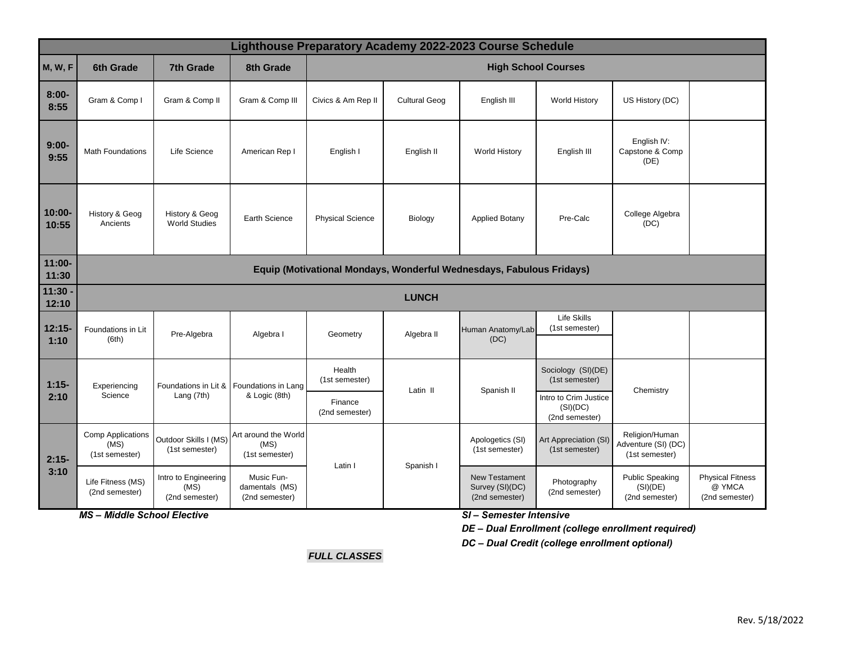| Lighthouse Preparatory Academy 2022-2023 Course Schedule |                                                                      |                                                |                                                |                            |                      |                                                           |                                                     |                                                         |                                                     |
|----------------------------------------------------------|----------------------------------------------------------------------|------------------------------------------------|------------------------------------------------|----------------------------|----------------------|-----------------------------------------------------------|-----------------------------------------------------|---------------------------------------------------------|-----------------------------------------------------|
| <b>M, W, F</b>                                           | 6th Grade                                                            | <b>7th Grade</b>                               | 8th Grade                                      | <b>High School Courses</b> |                      |                                                           |                                                     |                                                         |                                                     |
| $8:00 -$<br>8:55                                         | Gram & Comp I                                                        | Gram & Comp II                                 | Gram & Comp III                                | Civics & Am Rep II         | <b>Cultural Geog</b> | English III                                               | <b>World History</b>                                | US History (DC)                                         |                                                     |
| $9:00-$<br>9:55                                          | <b>Math Foundations</b>                                              | Life Science                                   | American Rep I                                 | English I                  | English II           | <b>World History</b>                                      | English III                                         | English IV:<br>Capstone & Comp<br>(DE)                  |                                                     |
| 10:00-<br>10:55                                          | History & Geog<br>Ancients                                           | History & Geog<br><b>World Studies</b>         | <b>Earth Science</b>                           | <b>Physical Science</b>    | Biology              | <b>Applied Botany</b>                                     | Pre-Calc                                            | College Algebra<br>(DC)                                 |                                                     |
| 11:00-<br>11:30                                          | Equip (Motivational Mondays, Wonderful Wednesdays, Fabulous Fridays) |                                                |                                                |                            |                      |                                                           |                                                     |                                                         |                                                     |
| $11:30 -$<br>12:10                                       | <b>LUNCH</b>                                                         |                                                |                                                |                            |                      |                                                           |                                                     |                                                         |                                                     |
| $12:15-$<br>1:10                                         | Foundations in Lit<br>(6th)                                          | Pre-Algebra                                    | Algebra I                                      | Geometry                   | Algebra II           | Human Anatomy/Lab<br>(DC)                                 | <b>Life Skills</b><br>(1st semester)                |                                                         |                                                     |
| $1:15-$<br>2:10                                          | Experiencing<br>Science                                              | Foundations in Lit &<br>Lang $(7th)$           | Foundations in Lang<br>& Logic (8th)           | Health<br>(1st semester)   | Latin II             | Spanish II                                                | Sociology (SI)(DE)<br>(1st semester)                | Chemistry                                               |                                                     |
|                                                          |                                                                      |                                                |                                                | Finance<br>(2nd semester)  |                      |                                                           | Intro to Crim Justice<br>(SI)(DC)<br>(2nd semester) |                                                         |                                                     |
| $2:15-$<br>3:10                                          | <b>Comp Applications</b><br>(MS)<br>(1st semester)                   | Outdoor Skills I (MS)<br>(1st semester)        | Art around the World<br>(MS)<br>(1st semester) | Latin I                    | Spanish I            | Apologetics (SI)<br>(1st semester)                        | Art Appreciation (SI)<br>(1st semester)             | Religion/Human<br>Adventure (SI) (DC)<br>(1st semester) |                                                     |
|                                                          | Life Fitness (MS)<br>(2nd semester)                                  | Intro to Engineering<br>(MS)<br>(2nd semester) | Music Fun-<br>damentals (MS)<br>(2nd semester) |                            |                      | <b>New Testament</b><br>Survey (SI)(DC)<br>(2nd semester) | Photography<br>(2nd semester)                       | <b>Public Speaking</b><br>(SI)(DE)<br>(2nd semester)    | <b>Physical Fitness</b><br>@ YMCA<br>(2nd semester) |

*MS – Middle School Elective*

*SI – Semester Intensive*

*DE – Dual Enrollment (college enrollment required)*

*DC – Dual Credit (college enrollment optional)* 

*FULL CLASSES*